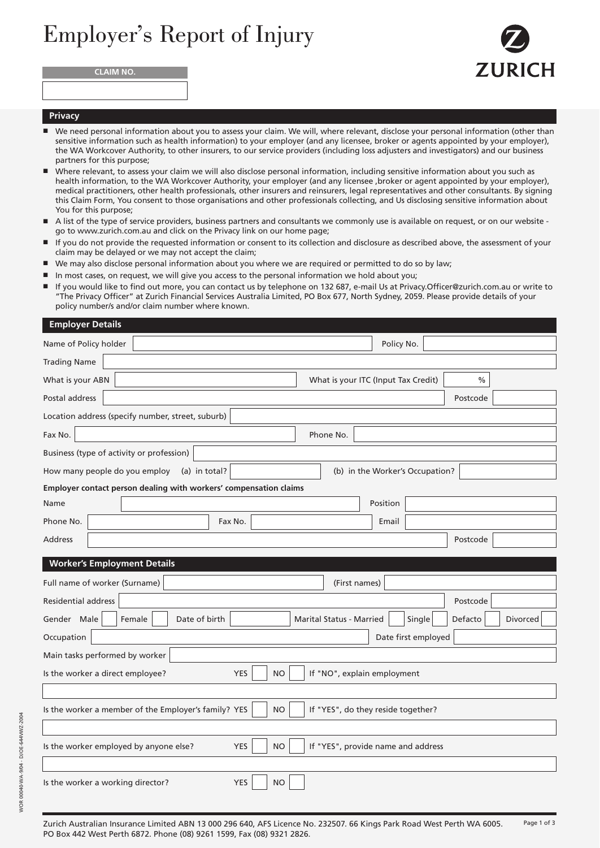## Employer's Report of Injury





## **Privacy**

- We need personal information about you to assess your claim. We will, where relevant, disclose your personal information (other than sensitive information such as health information) to your employer (and any licensee, broker or agents appointed by your employer), the WA Workcover Authority, to other insurers, to our service providers (including loss adjusters and investigators) and our business partners for this purpose;
- Where relevant, to assess your claim we will also disclose personal information, including sensitive information about you such as health information, to the WA Workcover Authority, your employer (and any licensee ,broker or agent appointed by your employer), medical practitioners, other health professionals, other insurers and reinsurers, legal representatives and other consultants. By signing this Claim Form, You consent to those organisations and other professionals collecting, and Us disclosing sensitive information about You for this purpose;
- A list of the type of service providers, business partners and consultants we commonly use is available on request, or on our website go to www.zurich.com.au and click on the Privacy link on our home page;
- If you do not provide the requested information or consent to its collection and disclosure as described above, the assessment of your claim may be delayed or we may not accept the claim;
- We may also disclose personal information about you where we are required or permitted to do so by law;
- In most cases, on request, we will give you access to the personal information we hold about you;
- If you would like to find out more, you can contact us by telephone on 132 687, e-mail Us at Privacy.Officer@zurich.com.au or write to "The Privacy Officer" at Zurich Financial Services Australia Limited, PO Box 677, North Sydney, 2059. Please provide details of your policy number/s and/or claim number where known.

| <b>Employer Details</b>                                                                                 |                                             |  |  |  |  |  |
|---------------------------------------------------------------------------------------------------------|---------------------------------------------|--|--|--|--|--|
| Name of Policy holder                                                                                   | Policy No.                                  |  |  |  |  |  |
| <b>Trading Name</b>                                                                                     |                                             |  |  |  |  |  |
| What is your ABN                                                                                        | What is your ITC (Input Tax Credit)<br>$\%$ |  |  |  |  |  |
| Postal address                                                                                          | Postcode                                    |  |  |  |  |  |
| Location address (specify number, street, suburb)                                                       |                                             |  |  |  |  |  |
| Fax No.<br>Phone No.                                                                                    |                                             |  |  |  |  |  |
| Business (type of activity or profession)                                                               |                                             |  |  |  |  |  |
| How many people do you employ<br>(a) in total?                                                          | (b) in the Worker's Occupation?             |  |  |  |  |  |
| Employer contact person dealing with workers' compensation claims                                       |                                             |  |  |  |  |  |
| Name                                                                                                    | Position                                    |  |  |  |  |  |
| Phone No.<br>Fax No.                                                                                    | Email                                       |  |  |  |  |  |
| <b>Address</b>                                                                                          | Postcode                                    |  |  |  |  |  |
| <b>Worker's Employment Details</b>                                                                      |                                             |  |  |  |  |  |
| Full name of worker (Surname)<br>(First names)                                                          |                                             |  |  |  |  |  |
| <b>Residential address</b><br>Postcode                                                                  |                                             |  |  |  |  |  |
| Date of birth<br>Gender Male<br>Female<br><b>Marital Status - Married</b>                               | Defacto<br>Divorced<br>Single               |  |  |  |  |  |
| Occupation                                                                                              | Date first employed                         |  |  |  |  |  |
| Main tasks performed by worker                                                                          |                                             |  |  |  |  |  |
| Is the worker a direct employee?<br><b>YES</b><br><b>NO</b>                                             | If "NO", explain employment                 |  |  |  |  |  |
|                                                                                                         |                                             |  |  |  |  |  |
| Is the worker a member of the Employer's family? YES<br><b>NO</b><br>If "YES", do they reside together? |                                             |  |  |  |  |  |
|                                                                                                         |                                             |  |  |  |  |  |
| Is the worker employed by anyone else?<br><b>NO</b><br><b>YES</b>                                       | If "YES", provide name and address          |  |  |  |  |  |
|                                                                                                         |                                             |  |  |  |  |  |
| <b>YES</b><br><b>NO</b><br>Is the worker a working director?                                            |                                             |  |  |  |  |  |
|                                                                                                         |                                             |  |  |  |  |  |

Zurich Australian Insurance Limited ABN 13 000 296 640, AFS Licence No. 232507. 66 Kings Park Road West Perth WA 6005. PO Box 442 West Perth 6872. Phone (08) 9261 1599, Fax (08) 9321 2826. Page 1 of 3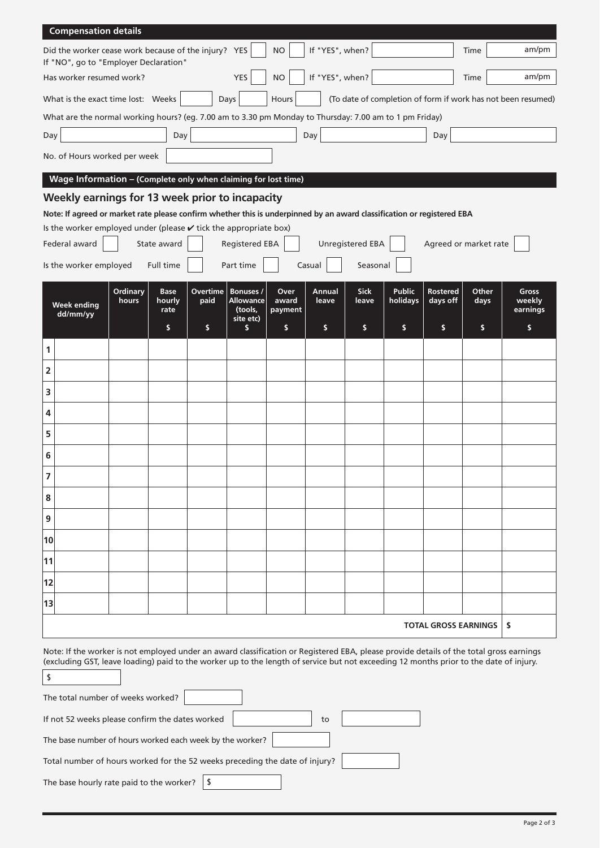| <b>Compensation details</b>                                                                                                                                                                                                                                                             |                   |                               |                  |                                                       |                          |                 |                         |                           |                             |                             |                             |
|-----------------------------------------------------------------------------------------------------------------------------------------------------------------------------------------------------------------------------------------------------------------------------------------|-------------------|-------------------------------|------------------|-------------------------------------------------------|--------------------------|-----------------|-------------------------|---------------------------|-----------------------------|-----------------------------|-----------------------------|
| Did the worker cease work because of the injury? YES<br>If "NO", go to "Employer Declaration"                                                                                                                                                                                           |                   |                               |                  |                                                       | <b>NO</b>                | If "YES", when? |                         |                           |                             | Time                        | am/pm                       |
| Has worker resumed work?                                                                                                                                                                                                                                                                |                   |                               |                  | <b>YES</b>                                            | <b>NO</b>                | If "YES", when? |                         |                           |                             | Time                        | am/pm                       |
| What is the exact time lost: Weeks<br>(To date of completion of form if work has not been resumed)<br>Days<br>Hours                                                                                                                                                                     |                   |                               |                  |                                                       |                          |                 |                         |                           |                             |                             |                             |
| What are the normal working hours? (eg. 7.00 am to 3.30 pm Monday to Thursday: 7.00 am to 1 pm Friday)                                                                                                                                                                                  |                   |                               |                  |                                                       |                          |                 |                         |                           |                             |                             |                             |
| Day                                                                                                                                                                                                                                                                                     |                   | Day                           |                  |                                                       |                          | Day             |                         |                           | Day                         |                             |                             |
| No. of Hours worked per week                                                                                                                                                                                                                                                            |                   |                               |                  |                                                       |                          |                 |                         |                           |                             |                             |                             |
| Wage Information - (Complete only when claiming for lost time)                                                                                                                                                                                                                          |                   |                               |                  |                                                       |                          |                 |                         |                           |                             |                             |                             |
| Weekly earnings for 13 week prior to incapacity                                                                                                                                                                                                                                         |                   |                               |                  |                                                       |                          |                 |                         |                           |                             |                             |                             |
| Note: If agreed or market rate please confirm whether this is underpinned by an award classification or registered EBA                                                                                                                                                                  |                   |                               |                  |                                                       |                          |                 |                         |                           |                             |                             |                             |
| Is the worker employed under (please $\checkmark$ tick the appropriate box)<br>Federal award                                                                                                                                                                                            |                   | State award                   |                  | <b>Registered EBA</b>                                 |                          |                 | <b>Unregistered EBA</b> |                           |                             | Agreed or market rate       |                             |
|                                                                                                                                                                                                                                                                                         |                   |                               |                  |                                                       |                          |                 |                         |                           |                             |                             |                             |
| Is the worker employed                                                                                                                                                                                                                                                                  |                   | Full time                     |                  | Part time                                             |                          | Casual          | Seasonal                |                           |                             |                             |                             |
| <b>Week ending</b><br>dd/mm/yy                                                                                                                                                                                                                                                          | Ordinary<br>hours | <b>Base</b><br>hourly<br>rate | Overtime<br>paid | <b>Bonuses /</b><br>Allowance<br>(tools,<br>site etc) | Over<br>award<br>payment | Annual<br>leave | <b>Sick</b><br>leave    | <b>Public</b><br>holidays | <b>Rostered</b><br>days off | Other<br>days               | Gross<br>weekly<br>earnings |
|                                                                                                                                                                                                                                                                                         |                   | \$                            | \$               | s                                                     | \$                       | \$              | s.                      | s                         | \$                          | \$                          | \$                          |
| 1                                                                                                                                                                                                                                                                                       |                   |                               |                  |                                                       |                          |                 |                         |                           |                             |                             |                             |
| 2                                                                                                                                                                                                                                                                                       |                   |                               |                  |                                                       |                          |                 |                         |                           |                             |                             |                             |
| 3                                                                                                                                                                                                                                                                                       |                   |                               |                  |                                                       |                          |                 |                         |                           |                             |                             |                             |
| 4                                                                                                                                                                                                                                                                                       |                   |                               |                  |                                                       |                          |                 |                         |                           |                             |                             |                             |
| 5                                                                                                                                                                                                                                                                                       |                   |                               |                  |                                                       |                          |                 |                         |                           |                             |                             |                             |
| 6                                                                                                                                                                                                                                                                                       |                   |                               |                  |                                                       |                          |                 |                         |                           |                             |                             |                             |
| $\overline{7}$                                                                                                                                                                                                                                                                          |                   |                               |                  |                                                       |                          |                 |                         |                           |                             |                             |                             |
| 8                                                                                                                                                                                                                                                                                       |                   |                               |                  |                                                       |                          |                 |                         |                           |                             |                             |                             |
| 9                                                                                                                                                                                                                                                                                       |                   |                               |                  |                                                       |                          |                 |                         |                           |                             |                             |                             |
| 10                                                                                                                                                                                                                                                                                      |                   |                               |                  |                                                       |                          |                 |                         |                           |                             |                             |                             |
| 11                                                                                                                                                                                                                                                                                      |                   |                               |                  |                                                       |                          |                 |                         |                           |                             |                             |                             |
| 12                                                                                                                                                                                                                                                                                      |                   |                               |                  |                                                       |                          |                 |                         |                           |                             |                             |                             |
| 13                                                                                                                                                                                                                                                                                      |                   |                               |                  |                                                       |                          |                 |                         |                           |                             |                             |                             |
|                                                                                                                                                                                                                                                                                         |                   |                               |                  |                                                       |                          |                 |                         |                           |                             | <b>TOTAL GROSS EARNINGS</b> | \$                          |
| Note: If the worker is not employed under an award classification or Registered EBA, please provide details of the total gross earnings<br>(excluding GST, leave loading) paid to the worker up to the length of service but not exceeding 12 months prior to the date of injury.<br>\$ |                   |                               |                  |                                                       |                          |                 |                         |                           |                             |                             |                             |
| The total number of weeks worked?                                                                                                                                                                                                                                                       |                   |                               |                  |                                                       |                          |                 |                         |                           |                             |                             |                             |
| If not 52 weeks please confirm the dates worked<br>to                                                                                                                                                                                                                                   |                   |                               |                  |                                                       |                          |                 |                         |                           |                             |                             |                             |
| The base number of hours worked each week by the worker?                                                                                                                                                                                                                                |                   |                               |                  |                                                       |                          |                 |                         |                           |                             |                             |                             |
| Total number of hours worked for the 52 weeks preceding the date of injury?                                                                                                                                                                                                             |                   |                               |                  |                                                       |                          |                 |                         |                           |                             |                             |                             |
| The base hourly rate paid to the worker?<br>\$                                                                                                                                                                                                                                          |                   |                               |                  |                                                       |                          |                 |                         |                           |                             |                             |                             |